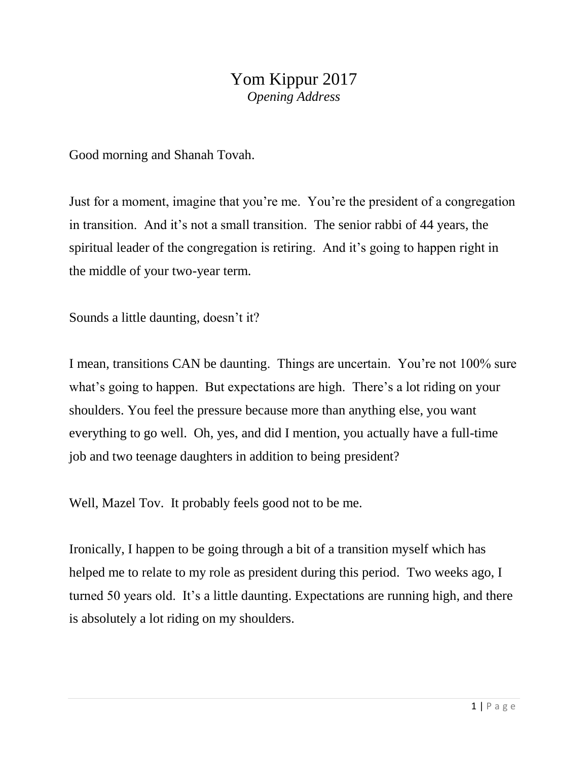## Yom Kippur 2017 *Opening Address*

Good morning and Shanah Tovah.

Just for a moment, imagine that you're me. You're the president of a congregation in transition. And it's not a small transition. The senior rabbi of 44 years, the spiritual leader of the congregation is retiring. And it's going to happen right in the middle of your two-year term.

Sounds a little daunting, doesn't it?

I mean, transitions CAN be daunting. Things are uncertain. You're not 100% sure what's going to happen. But expectations are high. There's a lot riding on your shoulders. You feel the pressure because more than anything else, you want everything to go well. Oh, yes, and did I mention, you actually have a full-time job and two teenage daughters in addition to being president?

Well, Mazel Tov. It probably feels good not to be me.

Ironically, I happen to be going through a bit of a transition myself which has helped me to relate to my role as president during this period. Two weeks ago, I turned 50 years old. It's a little daunting. Expectations are running high, and there is absolutely a lot riding on my shoulders.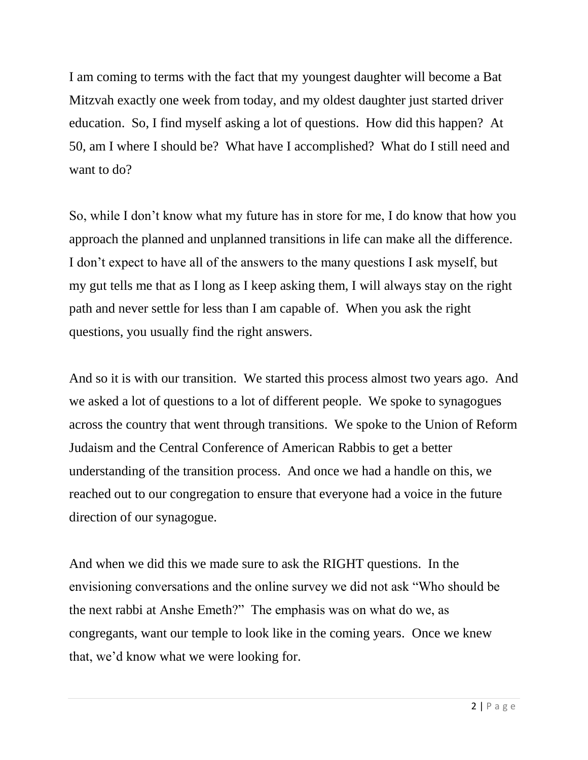I am coming to terms with the fact that my youngest daughter will become a Bat Mitzvah exactly one week from today, and my oldest daughter just started driver education. So, I find myself asking a lot of questions. How did this happen? At 50, am I where I should be? What have I accomplished? What do I still need and want to do?

So, while I don't know what my future has in store for me, I do know that how you approach the planned and unplanned transitions in life can make all the difference. I don't expect to have all of the answers to the many questions I ask myself, but my gut tells me that as I long as I keep asking them, I will always stay on the right path and never settle for less than I am capable of. When you ask the right questions, you usually find the right answers.

And so it is with our transition. We started this process almost two years ago. And we asked a lot of questions to a lot of different people. We spoke to synagogues across the country that went through transitions. We spoke to the Union of Reform Judaism and the Central Conference of American Rabbis to get a better understanding of the transition process. And once we had a handle on this, we reached out to our congregation to ensure that everyone had a voice in the future direction of our synagogue.

And when we did this we made sure to ask the RIGHT questions. In the envisioning conversations and the online survey we did not ask "Who should be the next rabbi at Anshe Emeth?" The emphasis was on what do we, as congregants, want our temple to look like in the coming years. Once we knew that, we'd know what we were looking for.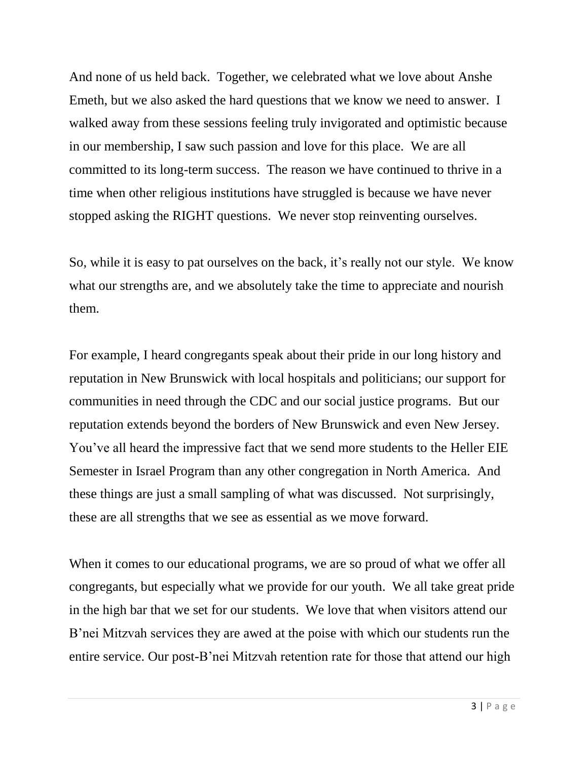And none of us held back. Together, we celebrated what we love about Anshe Emeth, but we also asked the hard questions that we know we need to answer. I walked away from these sessions feeling truly invigorated and optimistic because in our membership, I saw such passion and love for this place. We are all committed to its long-term success. The reason we have continued to thrive in a time when other religious institutions have struggled is because we have never stopped asking the RIGHT questions. We never stop reinventing ourselves.

So, while it is easy to pat ourselves on the back, it's really not our style. We know what our strengths are, and we absolutely take the time to appreciate and nourish them.

For example, I heard congregants speak about their pride in our long history and reputation in New Brunswick with local hospitals and politicians; our support for communities in need through the CDC and our social justice programs. But our reputation extends beyond the borders of New Brunswick and even New Jersey. You've all heard the impressive fact that we send more students to the Heller EIE Semester in Israel Program than any other congregation in North America. And these things are just a small sampling of what was discussed. Not surprisingly, these are all strengths that we see as essential as we move forward.

When it comes to our educational programs, we are so proud of what we offer all congregants, but especially what we provide for our youth. We all take great pride in the high bar that we set for our students. We love that when visitors attend our B'nei Mitzvah services they are awed at the poise with which our students run the entire service. Our post-B'nei Mitzvah retention rate for those that attend our high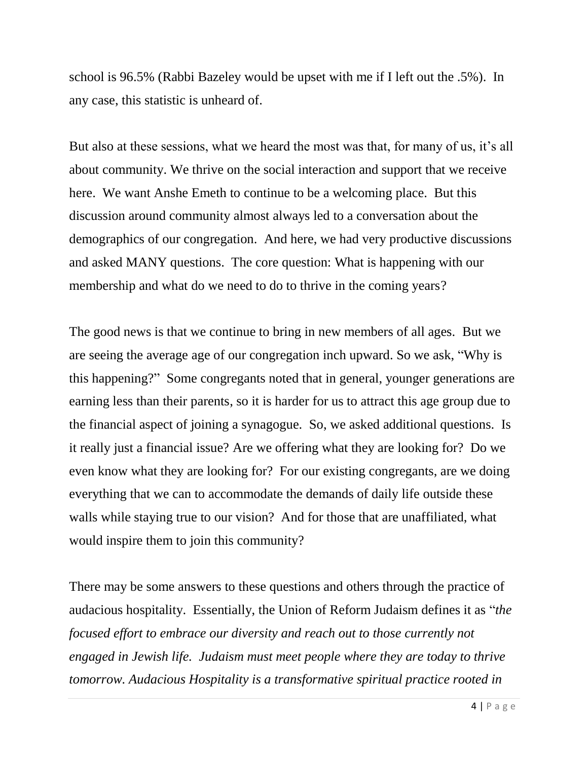school is 96.5% (Rabbi Bazeley would be upset with me if I left out the .5%). In any case, this statistic is unheard of.

But also at these sessions, what we heard the most was that, for many of us, it's all about community. We thrive on the social interaction and support that we receive here. We want Anshe Emeth to continue to be a welcoming place. But this discussion around community almost always led to a conversation about the demographics of our congregation. And here, we had very productive discussions and asked MANY questions. The core question: What is happening with our membership and what do we need to do to thrive in the coming years?

The good news is that we continue to bring in new members of all ages. But we are seeing the average age of our congregation inch upward. So we ask, "Why is this happening?" Some congregants noted that in general, younger generations are earning less than their parents, so it is harder for us to attract this age group due to the financial aspect of joining a synagogue. So, we asked additional questions. Is it really just a financial issue? Are we offering what they are looking for? Do we even know what they are looking for? For our existing congregants, are we doing everything that we can to accommodate the demands of daily life outside these walls while staying true to our vision? And for those that are unaffiliated, what would inspire them to join this community?

There may be some answers to these questions and others through the practice of audacious hospitality. Essentially, the Union of Reform Judaism defines it as "*the focused effort to embrace our diversity and reach out to those currently not engaged in Jewish life. Judaism must meet people where they are today to thrive tomorrow. Audacious Hospitality is a transformative spiritual practice rooted in*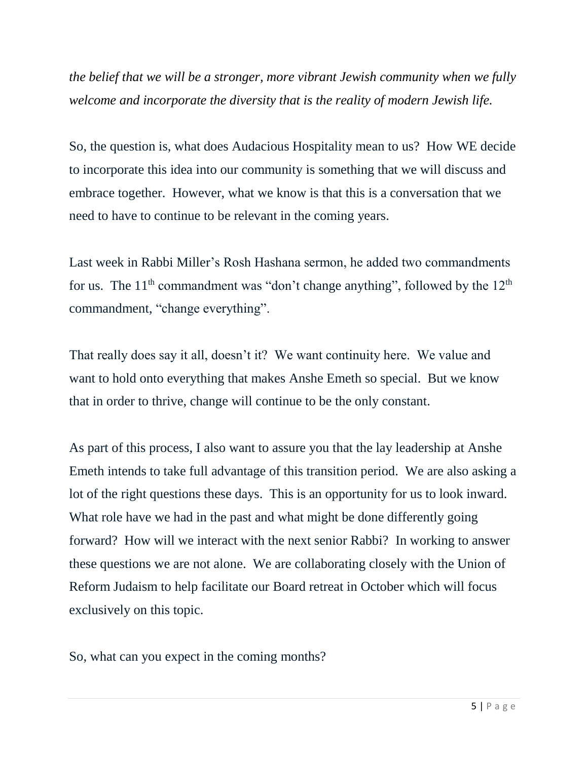*the belief that we will be a stronger, more vibrant Jewish community when we fully welcome and incorporate the diversity that is the reality of modern Jewish life.*

So, the question is, what does Audacious Hospitality mean to us? How WE decide to incorporate this idea into our community is something that we will discuss and embrace together. However, what we know is that this is a conversation that we need to have to continue to be relevant in the coming years.

Last week in Rabbi Miller's Rosh Hashana sermon, he added two commandments for us. The  $11<sup>th</sup>$  commandment was "don't change anything", followed by the  $12<sup>th</sup>$ commandment, "change everything".

That really does say it all, doesn't it? We want continuity here. We value and want to hold onto everything that makes Anshe Emeth so special. But we know that in order to thrive, change will continue to be the only constant.

As part of this process, I also want to assure you that the lay leadership at Anshe Emeth intends to take full advantage of this transition period. We are also asking a lot of the right questions these days. This is an opportunity for us to look inward. What role have we had in the past and what might be done differently going forward? How will we interact with the next senior Rabbi? In working to answer these questions we are not alone. We are collaborating closely with the Union of Reform Judaism to help facilitate our Board retreat in October which will focus exclusively on this topic.

So, what can you expect in the coming months?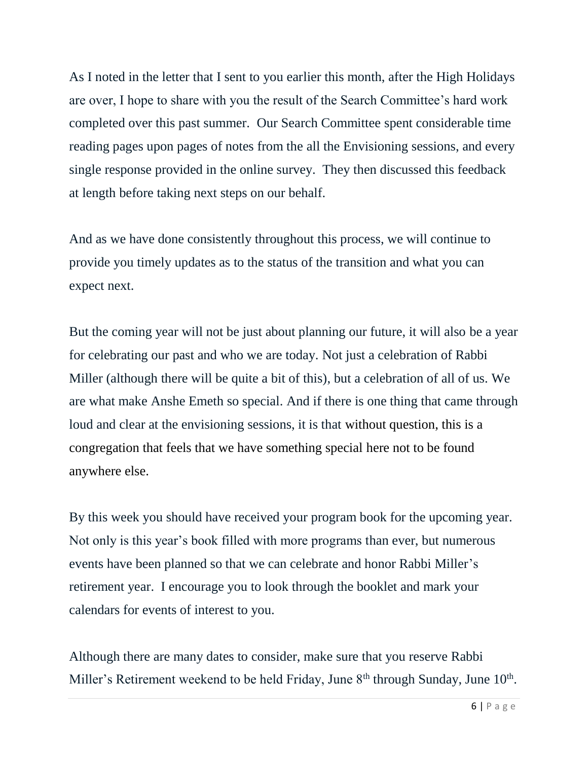As I noted in the letter that I sent to you earlier this month, after the High Holidays are over, I hope to share with you the result of the Search Committee's hard work completed over this past summer. Our Search Committee spent considerable time reading pages upon pages of notes from the all the Envisioning sessions, and every single response provided in the online survey. They then discussed this feedback at length before taking next steps on our behalf.

And as we have done consistently throughout this process, we will continue to provide you timely updates as to the status of the transition and what you can expect next.

But the coming year will not be just about planning our future, it will also be a year for celebrating our past and who we are today. Not just a celebration of Rabbi Miller (although there will be quite a bit of this), but a celebration of all of us. We are what make Anshe Emeth so special. And if there is one thing that came through loud and clear at the envisioning sessions, it is that without question, this is a congregation that feels that we have something special here not to be found anywhere else.

By this week you should have received your program book for the upcoming year. Not only is this year's book filled with more programs than ever, but numerous events have been planned so that we can celebrate and honor Rabbi Miller's retirement year. I encourage you to look through the booklet and mark your calendars for events of interest to you.

Although there are many dates to consider, make sure that you reserve Rabbi Miller's Retirement weekend to be held Friday, June 8<sup>th</sup> through Sunday, June 10<sup>th</sup>.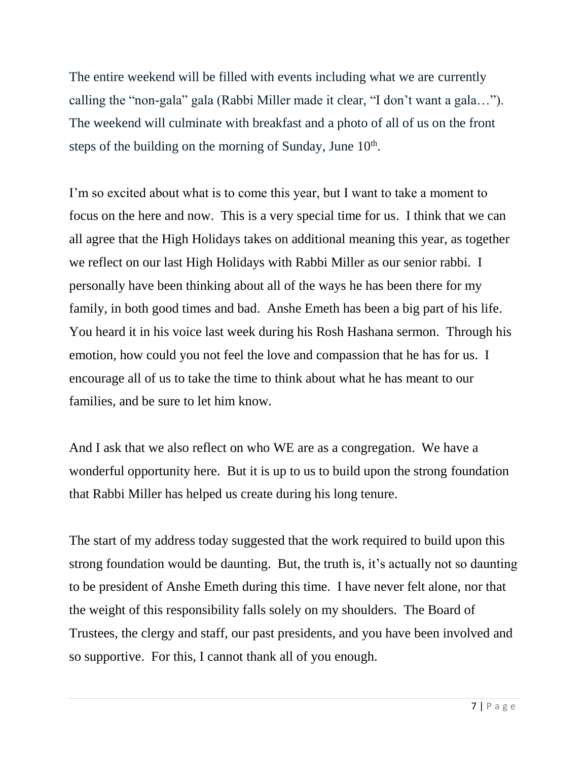The entire weekend will be filled with events including what we are currently calling the "non-gala" gala (Rabbi Miller made it clear, "I don't want a gala…"). The weekend will culminate with breakfast and a photo of all of us on the front steps of the building on the morning of Sunday, June  $10<sup>th</sup>$ .

I'm so excited about what is to come this year, but I want to take a moment to focus on the here and now. This is a very special time for us. I think that we can all agree that the High Holidays takes on additional meaning this year, as together we reflect on our last High Holidays with Rabbi Miller as our senior rabbi. I personally have been thinking about all of the ways he has been there for my family, in both good times and bad. Anshe Emeth has been a big part of his life. You heard it in his voice last week during his Rosh Hashana sermon. Through his emotion, how could you not feel the love and compassion that he has for us. I encourage all of us to take the time to think about what he has meant to our families, and be sure to let him know.

And I ask that we also reflect on who WE are as a congregation. We have a wonderful opportunity here. But it is up to us to build upon the strong foundation that Rabbi Miller has helped us create during his long tenure.

The start of my address today suggested that the work required to build upon this strong foundation would be daunting. But, the truth is, it's actually not so daunting to be president of Anshe Emeth during this time. I have never felt alone, nor that the weight of this responsibility falls solely on my shoulders. The Board of Trustees, the clergy and staff, our past presidents, and you have been involved and so supportive. For this, I cannot thank all of you enough.